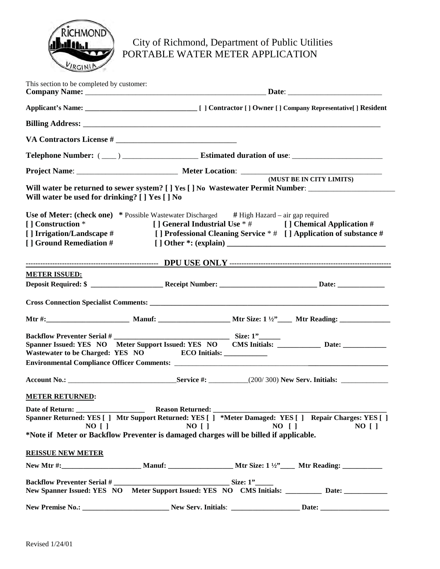

## City of Richmond, Department of Public Utilities PORTABLE WATER METER APPLICATION

| This section to be completed by customer:                                                                                                                                                  |                                            |                                                 |                                                                                                                               |  |
|--------------------------------------------------------------------------------------------------------------------------------------------------------------------------------------------|--------------------------------------------|-------------------------------------------------|-------------------------------------------------------------------------------------------------------------------------------|--|
|                                                                                                                                                                                            |                                            |                                                 |                                                                                                                               |  |
|                                                                                                                                                                                            |                                            |                                                 |                                                                                                                               |  |
|                                                                                                                                                                                            |                                            |                                                 |                                                                                                                               |  |
|                                                                                                                                                                                            |                                            |                                                 |                                                                                                                               |  |
|                                                                                                                                                                                            |                                            |                                                 |                                                                                                                               |  |
| Will water be returned to sewer system? [ ] Yes [ ] No Wastewater Permit Number: ___________________<br>Will water be used for drinking? [ ] Yes [ ] No                                    |                                            |                                                 | (MUST BE IN CITY LIMITS)                                                                                                      |  |
| <b>Use of Meter: (check one)</b> * Possible Wastewater Discharged # High Hazard – air gap required<br>[] Construction *<br>[] Irrigation/Landscape #<br>[ ] Ground Remediation #           |                                            |                                                 | [] General Industrial Use * # [] Chemical Application #<br>[] Professional Cleaning Service * # [] Application of substance # |  |
|                                                                                                                                                                                            |                                            |                                                 |                                                                                                                               |  |
| <b>METER ISSUED:</b>                                                                                                                                                                       |                                            |                                                 |                                                                                                                               |  |
|                                                                                                                                                                                            |                                            |                                                 |                                                                                                                               |  |
|                                                                                                                                                                                            |                                            |                                                 |                                                                                                                               |  |
|                                                                                                                                                                                            |                                            |                                                 |                                                                                                                               |  |
| <b>Backflow Preventer Serial #</b><br>Spanner Issued: YES NO Meter Support Issued: YES NO CMS Initials: Date: ________ Date:<br>Wastewater to be Charged: YES NO ECO Initials: ___________ |                                            | $\begin{array}{c}\n\text{Size: }1" \end{array}$ |                                                                                                                               |  |
|                                                                                                                                                                                            |                                            |                                                 |                                                                                                                               |  |
| <b>METER RETURNED:</b>                                                                                                                                                                     |                                            |                                                 |                                                                                                                               |  |
| Spanner Returned: YES [] Mtr Support Returned: YES [] *Meter Damaged: YES [] Repair Charges: YES []<br>$NO$ [ ]                                                                            | Reason Returned: _____________<br>$NO$ [ ] | $NO$ $\lceil$ $\rceil$                          | $NO$ [ ]                                                                                                                      |  |
| *Note if Meter or Backflow Preventer is damaged charges will be billed if applicable.                                                                                                      |                                            |                                                 |                                                                                                                               |  |
| <b>REISSUE NEW METER</b>                                                                                                                                                                   |                                            |                                                 |                                                                                                                               |  |
|                                                                                                                                                                                            |                                            |                                                 |                                                                                                                               |  |
| New Spanner Issued: YES NO Meter Support Issued: YES NO CMS Initials: _________ Date: _____________                                                                                        |                                            |                                                 |                                                                                                                               |  |
|                                                                                                                                                                                            |                                            |                                                 |                                                                                                                               |  |